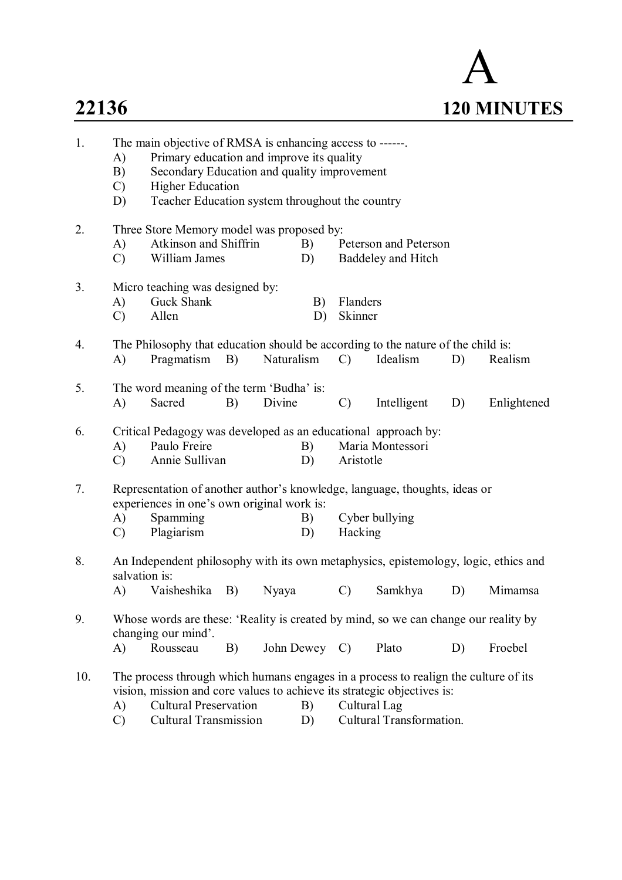

| 1.  | The main objective of RMSA is enhancing access to ------.<br>Primary education and improve its quality<br>A)<br>B)<br>Secondary Education and quality improvement<br>$\mathcal{C}$<br><b>Higher Education</b><br>Teacher Education system throughout the country<br>D)                                        |                                                                                                                                                                                             |  |  |          |                                             |             |    |             |  |
|-----|---------------------------------------------------------------------------------------------------------------------------------------------------------------------------------------------------------------------------------------------------------------------------------------------------------------|---------------------------------------------------------------------------------------------------------------------------------------------------------------------------------------------|--|--|----------|---------------------------------------------|-------------|----|-------------|--|
| 2.  | A)<br>$\mathcal{C}$                                                                                                                                                                                                                                                                                           | Three Store Memory model was proposed by:<br>Atkinson and Shiffrin<br>William James                                                                                                         |  |  | B)<br>D) | Peterson and Peterson<br>Baddeley and Hitch |             |    |             |  |
| 3.  | A)<br>$\mathcal{C}$                                                                                                                                                                                                                                                                                           | Micro teaching was designed by:<br>Guck Shank<br>Flanders<br>B)<br>Allen<br>Skinner<br>D)                                                                                                   |  |  |          |                                             |             |    |             |  |
| 4.  | A)                                                                                                                                                                                                                                                                                                            | The Philosophy that education should be according to the nature of the child is:<br>Pragmatism<br>B)<br>Naturalism<br>$\mathcal{C}$<br>Idealism<br>D)                                       |  |  |          |                                             |             |    | Realism     |  |
| 5.  | A)                                                                                                                                                                                                                                                                                                            | The word meaning of the term 'Budha' is:<br>$\mathcal{C}$<br>Sacred<br>B)<br>Divine                                                                                                         |  |  |          |                                             | Intelligent | D) | Enlightened |  |
| 6.  | A)<br>$\mathcal{C}$                                                                                                                                                                                                                                                                                           | Critical Pedagogy was developed as an educational approach by:<br>Paulo Freire<br>B)<br>Maria Montessori<br>Annie Sullivan<br>Aristotle<br>D)                                               |  |  |          |                                             |             |    |             |  |
| 7.  | A)<br>$\mathcal{C}$                                                                                                                                                                                                                                                                                           | Representation of another author's knowledge, language, thoughts, ideas or<br>experiences in one's own original work is:<br>Cyber bullying<br>Spamming<br>B)<br>Plagiarism<br>Hacking<br>D) |  |  |          |                                             |             |    |             |  |
| 8.  | An Independent philosophy with its own metaphysics, epistemology, logic, ethics and<br>salvation is:<br>Vaisheshika<br>$\mathcal{C}$<br>Samkhya<br>A)<br>B)<br>Nyaya<br>D)<br>Mimamsa                                                                                                                         |                                                                                                                                                                                             |  |  |          |                                             |             |    |             |  |
| 9.  | Whose words are these: 'Reality is created by mind, so we can change our reality by<br>changing our mind'.<br>$\mathbf{A}$<br>Rousseau<br>B)<br>John Dewey C)<br>Plato<br>Froebel<br>D)                                                                                                                       |                                                                                                                                                                                             |  |  |          |                                             |             |    |             |  |
| 10. | The process through which humans engages in a process to realign the culture of its<br>vision, mission and core values to achieve its strategic objectives is:<br><b>Cultural Preservation</b><br>Cultural Lag<br>A)<br>B)<br>Cultural Transformation.<br><b>Cultural Transmission</b><br>$\mathcal{C}$<br>D) |                                                                                                                                                                                             |  |  |          |                                             |             |    |             |  |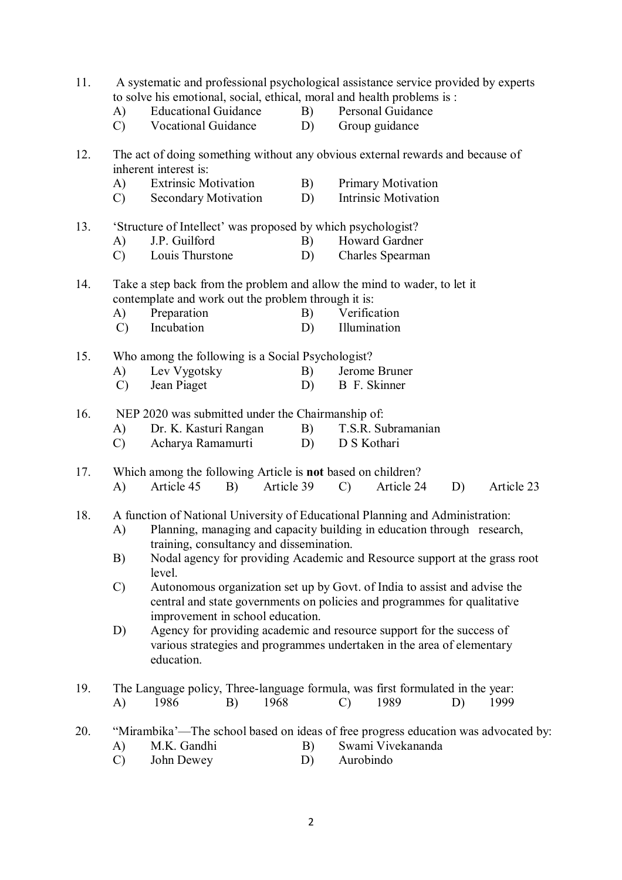| 11. | A systematic and professional psychological assistance service provided by experts<br>to solve his emotional, social, ethical, moral and health problems is :<br><b>Educational Guidance</b><br>B)<br>Personal Guidance<br>A) |                                                                                                                                                       |    |            |    |                           |                             |    |            |  |  |  |
|-----|-------------------------------------------------------------------------------------------------------------------------------------------------------------------------------------------------------------------------------|-------------------------------------------------------------------------------------------------------------------------------------------------------|----|------------|----|---------------------------|-----------------------------|----|------------|--|--|--|
|     | $\mathcal{C}$                                                                                                                                                                                                                 | <b>Vocational Guidance</b>                                                                                                                            |    |            | D) |                           | Group guidance              |    |            |  |  |  |
| 12. | The act of doing something without any obvious external rewards and because of<br>inherent interest is:                                                                                                                       |                                                                                                                                                       |    |            |    |                           |                             |    |            |  |  |  |
|     | A)                                                                                                                                                                                                                            | <b>Extrinsic Motivation</b>                                                                                                                           |    |            | B) | <b>Primary Motivation</b> |                             |    |            |  |  |  |
|     | C)                                                                                                                                                                                                                            | <b>Secondary Motivation</b>                                                                                                                           |    |            | D) |                           | <b>Intrinsic Motivation</b> |    |            |  |  |  |
| 13. |                                                                                                                                                                                                                               | 'Structure of Intellect' was proposed by which psychologist?                                                                                          |    |            |    |                           |                             |    |            |  |  |  |
|     | A)                                                                                                                                                                                                                            | J.P. Guilford                                                                                                                                         |    |            | B) |                           | Howard Gardner              |    |            |  |  |  |
|     | $\mathcal{C}$                                                                                                                                                                                                                 | Louis Thurstone                                                                                                                                       |    |            | D) |                           | Charles Spearman            |    |            |  |  |  |
| 14. | Take a step back from the problem and allow the mind to wader, to let it<br>contemplate and work out the problem through it is:                                                                                               |                                                                                                                                                       |    |            |    |                           |                             |    |            |  |  |  |
|     | A)                                                                                                                                                                                                                            | Preparation                                                                                                                                           |    |            | B) |                           | Verification                |    |            |  |  |  |
|     | $\mathcal{C}$                                                                                                                                                                                                                 | Incubation                                                                                                                                            |    |            | D) |                           | Illumination                |    |            |  |  |  |
| 15. |                                                                                                                                                                                                                               | Who among the following is a Social Psychologist?                                                                                                     |    |            |    |                           |                             |    |            |  |  |  |
|     | A)                                                                                                                                                                                                                            | Lev Vygotsky                                                                                                                                          |    |            | B) |                           | Jerome Bruner               |    |            |  |  |  |
|     | $\mathcal{C}$                                                                                                                                                                                                                 | Jean Piaget                                                                                                                                           |    |            | D) |                           | B F. Skinner                |    |            |  |  |  |
| 16. | NEP 2020 was submitted under the Chairmanship of:                                                                                                                                                                             |                                                                                                                                                       |    |            |    |                           |                             |    |            |  |  |  |
|     | A)                                                                                                                                                                                                                            | Dr. K. Kasturi Rangan                                                                                                                                 |    |            | B) |                           | T.S.R. Subramanian          |    |            |  |  |  |
|     | $\mathcal{C}$                                                                                                                                                                                                                 | Acharya Ramamurti                                                                                                                                     |    |            | D) | D S Kothari               |                             |    |            |  |  |  |
| 17. |                                                                                                                                                                                                                               | Which among the following Article is <b>not</b> based on children?                                                                                    |    |            |    |                           |                             |    |            |  |  |  |
|     | A)                                                                                                                                                                                                                            | Article 45                                                                                                                                            | B) | Article 39 |    | $\mathcal{C}$             | Article 24                  | D) | Article 23 |  |  |  |
| 18. | A function of National University of Educational Planning and Administration:                                                                                                                                                 |                                                                                                                                                       |    |            |    |                           |                             |    |            |  |  |  |
|     | A)                                                                                                                                                                                                                            | Planning, managing and capacity building in education through research,<br>training, consultancy and dissemination.                                   |    |            |    |                           |                             |    |            |  |  |  |
|     | B)                                                                                                                                                                                                                            | Nodal agency for providing Academic and Resource support at the grass root<br>level.                                                                  |    |            |    |                           |                             |    |            |  |  |  |
|     | $\mathcal{C}$                                                                                                                                                                                                                 |                                                                                                                                                       |    |            |    |                           |                             |    |            |  |  |  |
|     |                                                                                                                                                                                                                               | Autonomous organization set up by Govt. of India to assist and advise the<br>central and state governments on policies and programmes for qualitative |    |            |    |                           |                             |    |            |  |  |  |
|     |                                                                                                                                                                                                                               | improvement in school education.                                                                                                                      |    |            |    |                           |                             |    |            |  |  |  |
|     | D)                                                                                                                                                                                                                            | Agency for providing academic and resource support for the success of                                                                                 |    |            |    |                           |                             |    |            |  |  |  |
|     |                                                                                                                                                                                                                               | various strategies and programmes undertaken in the area of elementary<br>education.                                                                  |    |            |    |                           |                             |    |            |  |  |  |
| 19. |                                                                                                                                                                                                                               | The Language policy, Three-language formula, was first formulated in the year:                                                                        |    |            |    |                           |                             |    |            |  |  |  |
|     | A)                                                                                                                                                                                                                            | 1986                                                                                                                                                  | B) | 1968       |    | $\mathcal{C}$             | 1989                        | D) | 1999       |  |  |  |
| 20. |                                                                                                                                                                                                                               | "Mirambika'—The school based on ideas of free progress education was advocated by:                                                                    |    |            |    |                           |                             |    |            |  |  |  |
|     | A)                                                                                                                                                                                                                            | M.K. Gandhi                                                                                                                                           |    |            | B) |                           | Swami Vivekananda           |    |            |  |  |  |
|     | $\mathcal{C}$                                                                                                                                                                                                                 | John Dewey                                                                                                                                            |    |            | D) | Aurobindo                 |                             |    |            |  |  |  |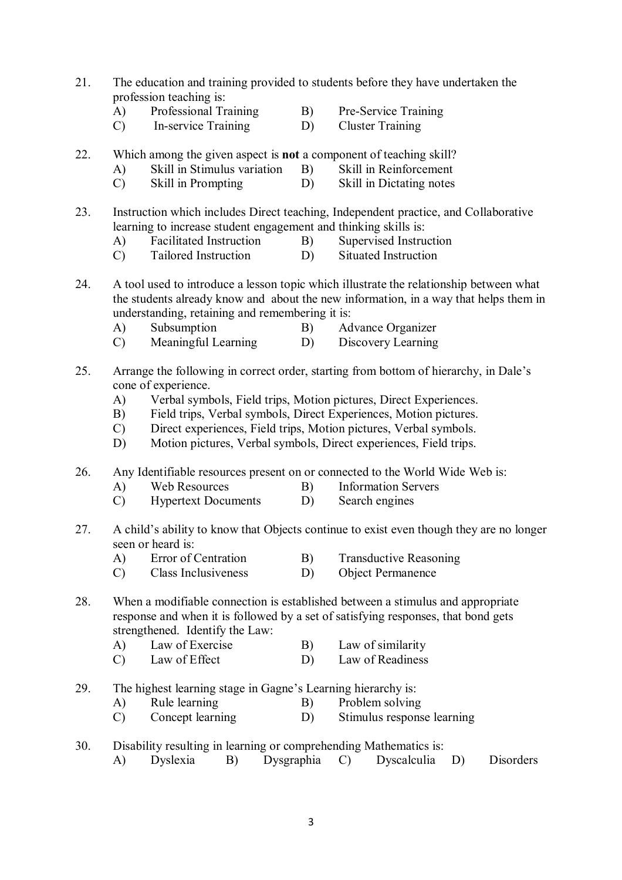- 21. The education and training provided to students before they have undertaken the profession teaching is:
	- A) Professional Training B) Pre-Service Training
	- C) In-service Training D) Cluster Training
- 22. Which among the given aspect is **not** a component of teaching skill?
	- A) Skill in Stimulus variation B) Skill in Reinforcement
	- C) Skill in Prompting D) Skill in Dictating notes
- 23. Instruction which includes Direct teaching, Independent practice, and Collaborative learning to increase student engagement and thinking skills is:
	- A) Facilitated Instruction B) Supervised Instruction
	- C) Tailored Instruction D) Situated Instruction
- 24. A tool used to introduce a lesson topic which illustrate the relationship between what the students already know and about the new information, in a way that helps them in understanding, retaining and remembering it is:
	- A) Subsumption B) Advance Organizer
	- C) Meaningful Learning D) Discovery Learning
- 25. Arrange the following in correct order, starting from bottom of hierarchy, in Dale's cone of experience.
	- A) Verbal symbols, Field trips, Motion pictures, Direct Experiences.
	- B) Field trips, Verbal symbols, Direct Experiences, Motion pictures.
	- C) Direct experiences, Field trips, Motion pictures, Verbal symbols.
	- D) Motion pictures, Verbal symbols, Direct experiences, Field trips.
- 26. Any Identifiable resources present on or connected to the World Wide Web is:
	- A) Web Resources B) Information Servers
	- C) Hypertext Documents D) Search engines
- 27. A child's ability to know that Objects continue to exist even though they are no longer seen or heard is:<br>A) Error of Centration
	- A) Error of Centration B) Transductive Reasoning
	- C) Class Inclusiveness D) Object Permanence
- 28. When a modifiable connection is established between a stimulus and appropriate response and when it is followed by a set of satisfying responses, that bond gets strengthened. Identify the Law:
	- A) Law of Exercise B) Law of similarity
	- C) Law of Effect D) Law of Readiness
- 29. The highest learning stage in Gagne's Learning hierarchy is:
	- A) Rule learning B) Problem solving
	- C) Concept learning D) Stimulus response learning
- 30. Disability resulting in learning or comprehending Mathematics is:
	- A) Dyslexia B) Dysgraphia C) Dyscalculia D) Disorders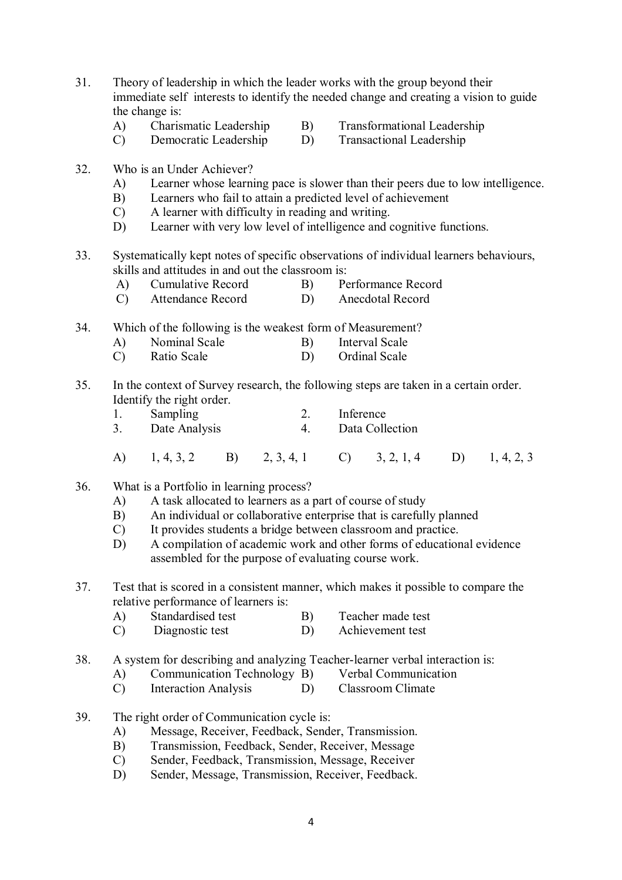- 31. Theory of leadership in which the leader works with the group beyond their immediate self interests to identify the needed change and creating a vision to guide the change is:
	- A) Charismatic Leadership B) Transformational Leadership
		-
	- C) Democratic Leadership D) Transactional Leadership
- 
- 32. Who is an Under Achiever?
	- A) Learner whose learning pace is slower than their peers due to low intelligence.
	- B) Learners who fail to attain a predicted level of achievement
	- C) A learner with difficulty in reading and writing.
	- D) Learner with very low level of intelligence and cognitive functions.
- 33. Systematically kept notes of specific observations of individual learners behaviours, skills and attitudes in and out the classroom is:
	- A) Cumulative Record B) Performance Record<br>
	C) Attendance Record D) Anecdotal Record
	- Attendance Record
- 34. Which of the following is the weakest form of Measurement?
	- A) Nominal Scale B) Interval Scale
	- C) Ratio Scale D) Ordinal Scale
- 35. In the context of Survey research, the following steps are taken in a certain order. Identify the right order.
	- 1. Sampling 2. Inference
	- 3. Date Analysis 4. Data Collection
	- A) 1, 4, 3, 2 B) 2, 3, 4, 1 C) 3, 2, 1, 4 D) 1, 4, 2, 3
- 36. What is a Portfolio in learning process?
	- A) A task allocated to learners as a part of course of study
	- B) An individual or collaborative enterprise that is carefully planned
	- C) It provides students a bridge between classroom and practice.
	- D) A compilation of academic work and other forms of educational evidence assembled for the purpose of evaluating course work.

37. Test that is scored in a consistent manner, which makes it possible to compare the relative performance of learners is:

- A) Standardised test B) Teacher made test
- C) Diagnostic test D) Achievement test
- 38. A system for describing and analyzing Teacher-learner verbal interaction is:
	- A) Communication Technology B) Verbal Communication
	- C) Interaction Analysis D) Classroom Climate
- 39. The right order of Communication cycle is:
	- A) Message, Receiver, Feedback, Sender, Transmission.
	- B) Transmission, Feedback, Sender, Receiver, Message
	- C) Sender, Feedback, Transmission, Message, Receiver
	- D) Sender, Message, Transmission, Receiver, Feedback.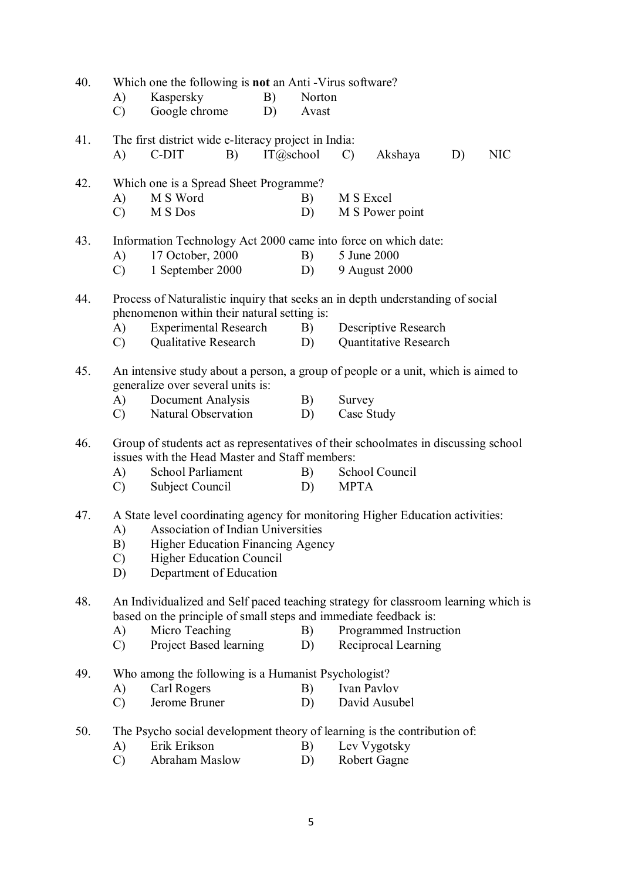| Which one the following is not an Anti - Virus software?<br>40. |                                                                                                                                                        |                                                                          |           |                 |                      |                        |                                                      |            |  |  |  |  |
|-----------------------------------------------------------------|--------------------------------------------------------------------------------------------------------------------------------------------------------|--------------------------------------------------------------------------|-----------|-----------------|----------------------|------------------------|------------------------------------------------------|------------|--|--|--|--|
|                                                                 | A)<br>$\mathcal{C}$                                                                                                                                    | Kaspersky<br>Google chrome                                               | B)<br>D)  | Norton<br>Avast |                      |                        |                                                      |            |  |  |  |  |
|                                                                 |                                                                                                                                                        |                                                                          |           |                 |                      |                        |                                                      |            |  |  |  |  |
| 41.                                                             | The first district wide e-literacy project in India:<br>B)                                                                                             |                                                                          |           |                 |                      |                        |                                                      |            |  |  |  |  |
|                                                                 | A)                                                                                                                                                     | C-DIT                                                                    | IT@school |                 | $\mathcal{C}$        | Akshaya                | D)                                                   | <b>NIC</b> |  |  |  |  |
| 42.                                                             | Which one is a Spread Sheet Programme?                                                                                                                 |                                                                          |           |                 |                      |                        |                                                      |            |  |  |  |  |
|                                                                 | A)                                                                                                                                                     | M S Word                                                                 |           |                 | B)<br>M S Excel      |                        |                                                      |            |  |  |  |  |
|                                                                 | $\mathcal{C}$                                                                                                                                          | M S Dos                                                                  | D)        |                 | M S Power point      |                        |                                                      |            |  |  |  |  |
| 43.                                                             | Information Technology Act 2000 came into force on which date:                                                                                         |                                                                          |           |                 |                      |                        |                                                      |            |  |  |  |  |
|                                                                 | A)                                                                                                                                                     | 17 October, 2000                                                         |           |                 | B)                   | 5 June 2000            |                                                      |            |  |  |  |  |
|                                                                 | C)                                                                                                                                                     | 1 September 2000                                                         |           |                 | D)                   |                        | 9 August 2000                                        |            |  |  |  |  |
|                                                                 |                                                                                                                                                        |                                                                          |           |                 |                      |                        |                                                      |            |  |  |  |  |
| 44.                                                             | Process of Naturalistic inquiry that seeks an in depth understanding of social                                                                         |                                                                          |           |                 |                      |                        |                                                      |            |  |  |  |  |
|                                                                 |                                                                                                                                                        | phenomenon within their natural setting is:                              |           |                 |                      |                        |                                                      |            |  |  |  |  |
|                                                                 | A)<br>$\mathcal{C}$                                                                                                                                    | <b>Experimental Research</b><br><b>Qualitative Research</b>              |           |                 | B)<br>D)             |                        | Descriptive Research<br><b>Quantitative Research</b> |            |  |  |  |  |
|                                                                 |                                                                                                                                                        |                                                                          |           |                 |                      |                        |                                                      |            |  |  |  |  |
| 45.                                                             | An intensive study about a person, a group of people or a unit, which is aimed to                                                                      |                                                                          |           |                 |                      |                        |                                                      |            |  |  |  |  |
|                                                                 |                                                                                                                                                        | generalize over several units is:                                        |           |                 |                      |                        |                                                      |            |  |  |  |  |
|                                                                 | A)                                                                                                                                                     | Document Analysis                                                        |           | B)              | Survey<br>Case Study |                        |                                                      |            |  |  |  |  |
|                                                                 | $\mathcal{C}$                                                                                                                                          | Natural Observation                                                      |           |                 | D)                   |                        |                                                      |            |  |  |  |  |
| 46.                                                             | Group of students act as representatives of their schoolmates in discussing school                                                                     |                                                                          |           |                 |                      |                        |                                                      |            |  |  |  |  |
|                                                                 |                                                                                                                                                        | issues with the Head Master and Staff members:                           |           |                 |                      |                        |                                                      |            |  |  |  |  |
|                                                                 | A)                                                                                                                                                     | <b>School Parliament</b>                                                 |           |                 | B)                   |                        | School Council                                       |            |  |  |  |  |
|                                                                 | $\mathcal{C}$                                                                                                                                          | Subject Council                                                          |           |                 | D)                   | <b>MPTA</b>            |                                                      |            |  |  |  |  |
| 47.                                                             | A State level coordinating agency for monitoring Higher Education activities:                                                                          |                                                                          |           |                 |                      |                        |                                                      |            |  |  |  |  |
|                                                                 | Association of Indian Universities<br>A)                                                                                                               |                                                                          |           |                 |                      |                        |                                                      |            |  |  |  |  |
|                                                                 |                                                                                                                                                        | B) Higher Education Financing Agency                                     |           |                 |                      |                        |                                                      |            |  |  |  |  |
|                                                                 | $\mathcal{C}$                                                                                                                                          | <b>Higher Education Council</b>                                          |           |                 |                      |                        |                                                      |            |  |  |  |  |
|                                                                 | Department of Education<br>D)                                                                                                                          |                                                                          |           |                 |                      |                        |                                                      |            |  |  |  |  |
| 48.                                                             |                                                                                                                                                        |                                                                          |           |                 |                      |                        |                                                      |            |  |  |  |  |
|                                                                 | An Individualized and Self paced teaching strategy for classroom learning which is<br>based on the principle of small steps and immediate feedback is: |                                                                          |           |                 |                      |                        |                                                      |            |  |  |  |  |
|                                                                 | A)                                                                                                                                                     | Micro Teaching                                                           |           |                 | B)                   | Programmed Instruction |                                                      |            |  |  |  |  |
|                                                                 | $\mathcal{C}$                                                                                                                                          | Project Based learning                                                   |           |                 | D)                   |                        | Reciprocal Learning                                  |            |  |  |  |  |
| 49.                                                             | Who among the following is a Humanist Psychologist?                                                                                                    |                                                                          |           |                 |                      |                        |                                                      |            |  |  |  |  |
|                                                                 | A)                                                                                                                                                     | Carl Rogers                                                              |           |                 | B)                   | Ivan Pavlov            |                                                      |            |  |  |  |  |
|                                                                 | $\mathcal{C}$                                                                                                                                          | Jerome Bruner                                                            |           |                 | D)                   |                        | David Ausubel                                        |            |  |  |  |  |
|                                                                 |                                                                                                                                                        |                                                                          |           |                 |                      |                        |                                                      |            |  |  |  |  |
| 50.                                                             |                                                                                                                                                        | The Psycho social development theory of learning is the contribution of: |           |                 |                      |                        |                                                      |            |  |  |  |  |
|                                                                 | A)                                                                                                                                                     | Erik Erikson<br>Abraham Maslow                                           |           |                 | B)                   |                        | Lev Vygotsky                                         |            |  |  |  |  |
|                                                                 | $\mathcal{C}$                                                                                                                                          |                                                                          |           |                 | D)                   |                        | Robert Gagne                                         |            |  |  |  |  |
|                                                                 |                                                                                                                                                        |                                                                          |           |                 |                      |                        |                                                      |            |  |  |  |  |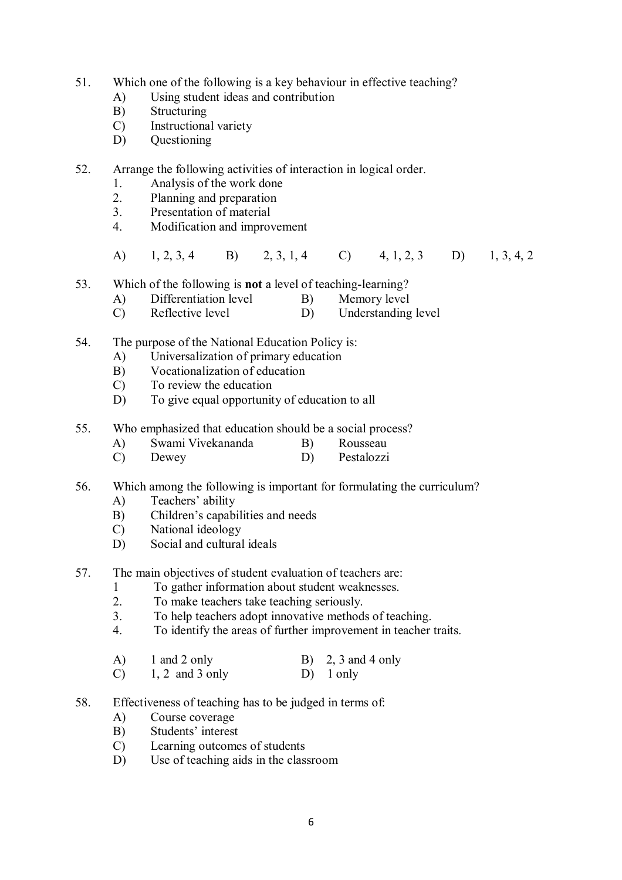- 51. Which one of the following is a key behaviour in effective teaching?
	- A) Using student ideas and contribution
	- B) Structuring
	- C) Instructional variety
	- D) Questioning
- 52. Arrange the following activities of interaction in logical order.
	- 1. Analysis of the work done
	- 2. Planning and preparation
	- 3. Presentation of material
	- 4. Modification and improvement
	- A) 1, 2, 3, 4 B) 2, 3, 1, 4 C) 4, 1, 2, 3 D) 1, 3, 4, 2
- 53. Which of the following is **not** a level of teaching-learning?
	- A) Differentiation level B) Memory level
	- C) Reflective level D) Understanding level
- 54. The purpose of the National Education Policy is:
	- A) Universalization of primary education
	- B) Vocationalization of education
	- C) To review the education
	- D) To give equal opportunity of education to all
- 55. Who emphasized that education should be a social process?
	- A) Swami Vivekananda B) Rousseau
	- C) Dewey D) Pestalozzi
- 56. Which among the following is important for formulating the curriculum?
	- A) Teachers' ability
	- B) Children's capabilities and needs
	- C) National ideology
	- D) Social and cultural ideals
- 57. The main objectives of student evaluation of teachers are:
	- 1 To gather information about student weaknesses.<br>2 To make teachers take teaching seriously
	- 2. To make teachers take teaching seriously.
	- 3. To help teachers adopt innovative methods of teaching.
	- 4. To identify the areas of further improvement in teacher traits.
	- A) 1 and 2 only B) 2, 3 and 4 only C)  $1, 2$  and 3 only D) 1 only
- 58. Effectiveness of teaching has to be judged in terms of:
	- A) Course coverage
	- B) Students' interest
	- C) Learning outcomes of students
	- D) Use of teaching aids in the classroom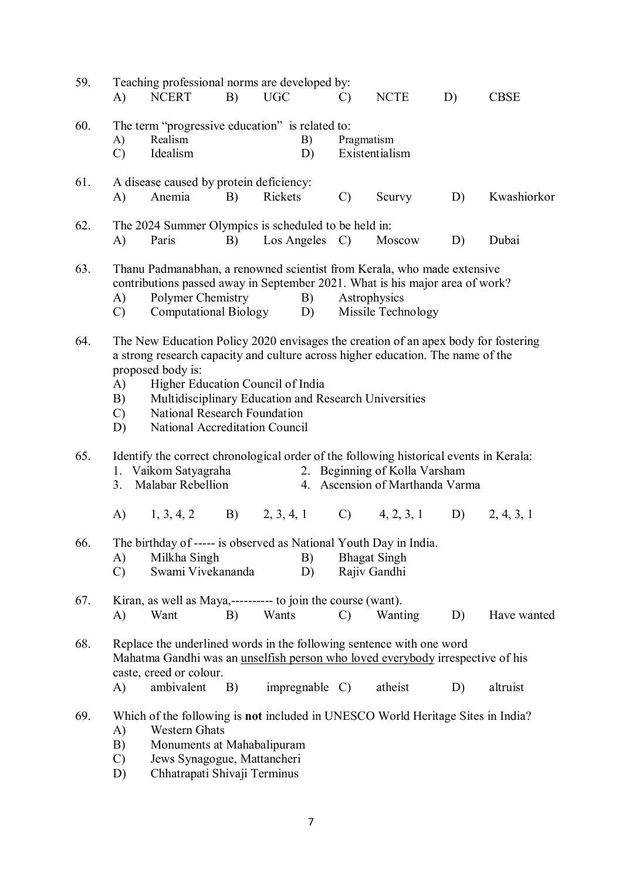| 59. | A)                                                                                                                                                                                                                                                                                                                                                                                 | Teaching professional norms are developed by:<br><b>NCERT</b>                                                                                                                                                                                           | B) | <b>UGC</b> |                  | $\mathcal{C}$                | <b>NCTE</b>                                                      | D) | <b>CBSE</b> |  |
|-----|------------------------------------------------------------------------------------------------------------------------------------------------------------------------------------------------------------------------------------------------------------------------------------------------------------------------------------------------------------------------------------|---------------------------------------------------------------------------------------------------------------------------------------------------------------------------------------------------------------------------------------------------------|----|------------|------------------|------------------------------|------------------------------------------------------------------|----|-------------|--|
| 60. | A)<br>$\mathcal{C}$                                                                                                                                                                                                                                                                                                                                                                | The term "progressive education" is related to:<br>Realism<br>Idealism                                                                                                                                                                                  |    |            | B)<br>D)         | Pragmatism<br>Existentialism |                                                                  |    |             |  |
| 61. | A)                                                                                                                                                                                                                                                                                                                                                                                 | A disease caused by protein deficiency:<br>Anemia                                                                                                                                                                                                       | B) | Rickets    |                  | $\mathcal{C}$                | Scurvy                                                           | D) | Kwashiorkor |  |
| 62. | A)                                                                                                                                                                                                                                                                                                                                                                                 | The 2024 Summer Olympics is scheduled to be held in:<br>Paris                                                                                                                                                                                           | B) |            | Los Angeles      | $\mathcal{C}$                | Moscow                                                           | D) | Dubai       |  |
| 63. | A)<br>$\mathcal{C}$                                                                                                                                                                                                                                                                                                                                                                | Thanu Padmanabhan, a renowned scientist from Kerala, who made extensive<br>contributions passed away in September 2021. What is his major area of work?<br>Polymer Chemistry<br>B)<br>Astrophysics<br>Computational Biology<br>Missile Technology<br>D) |    |            |                  |                              |                                                                  |    |             |  |
| 64. | The New Education Policy 2020 envisages the creation of an apex body for fostering<br>a strong research capacity and culture across higher education. The name of the<br>proposed body is:<br>Higher Education Council of India<br>A)<br>Multidisciplinary Education and Research Universities<br>B)<br>National Research Foundation<br>C)<br>National Accreditation Council<br>D) |                                                                                                                                                                                                                                                         |    |            |                  |                              |                                                                  |    |             |  |
| 65. | 3.                                                                                                                                                                                                                                                                                                                                                                                 | Identify the correct chronological order of the following historical events in Kerala:<br>1. Vaikom Satyagraha<br>Malabar Rebellion                                                                                                                     |    |            |                  |                              | 2. Beginning of Kolla Varsham<br>4. Ascension of Marthanda Varma |    |             |  |
|     |                                                                                                                                                                                                                                                                                                                                                                                    | A) $1, 3, 4, 2$                                                                                                                                                                                                                                         |    |            |                  |                              | B) $2, 3, 4, 1$ C) $4, 2, 3, 1$                                  | D) | 2, 4, 3, 1  |  |
| 66. | The birthday of ----- is observed as National Youth Day in India.<br>Milkha Singh<br>B)<br><b>Bhagat Singh</b><br>A)<br>Swami Vivekananda<br>Rajiv Gandhi<br>$\mathcal{C}$<br>D)                                                                                                                                                                                                   |                                                                                                                                                                                                                                                         |    |            |                  |                              |                                                                  |    |             |  |
| 67. | A)                                                                                                                                                                                                                                                                                                                                                                                 | Kiran, as well as Maya,---------- to join the course (want).<br>Want                                                                                                                                                                                    | B) | Wants      |                  | $\mathcal{C}$                | Wanting                                                          | D) | Have wanted |  |
| 68. |                                                                                                                                                                                                                                                                                                                                                                                    | Replace the underlined words in the following sentence with one word<br>Mahatma Gandhi was an unselfish person who loved everybody irrespective of his<br>caste, creed or colour.                                                                       |    |            |                  |                              |                                                                  |    |             |  |
| 69. | A)<br>A)<br>B)<br>$\mathcal{C}$<br>D)                                                                                                                                                                                                                                                                                                                                              | ambivalent<br>Which of the following is not included in UNESCO World Heritage Sites in India?<br><b>Western Ghats</b><br>Monuments at Mahabalipuram<br>Jews Synagogue, Mattancheri<br>Chhatrapati Shivaji Terminus                                      | B) |            | $impregnable$ C) |                              | atheist                                                          | D) | altruist    |  |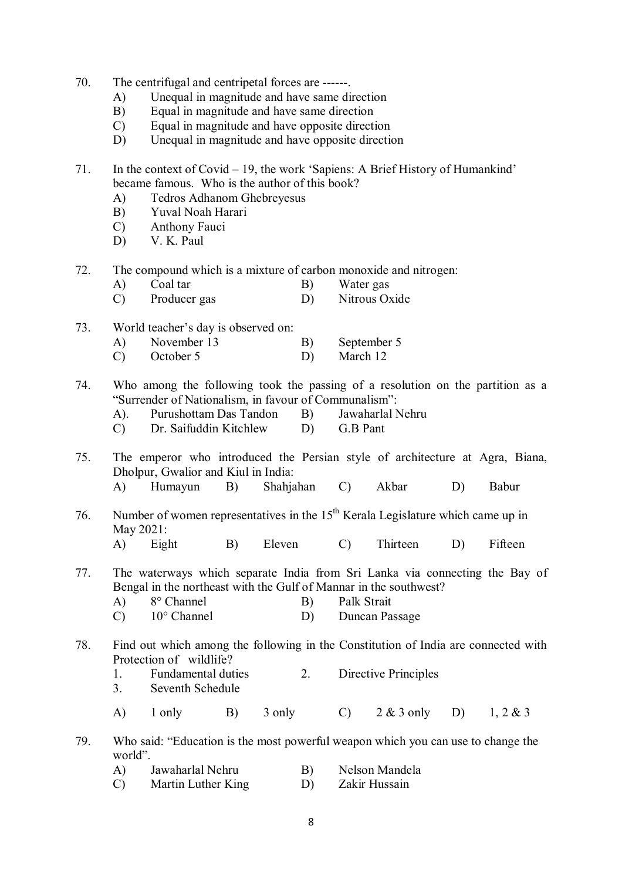- 70. The centrifugal and centripetal forces are ------.
	- A) Unequal in magnitude and have same direction
	- B) Equal in magnitude and have same direction
	- C) Equal in magnitude and have opposite direction
	- D) Unequal in magnitude and have opposite direction

71. In the context of Covid – 19, the work 'Sapiens: A Brief History of Humankind' became famous. Who is the author of this book?

- A) Tedros Adhanom Ghebreyesus
- B) Yuval Noah Harari
- C) Anthony Fauci
- D) V. K. Paul
- 72. The compound which is a mixture of carbon monoxide and nitrogen:
	- A) Coal tar B) Water gas<br>
	C) Producer gas B) Nitrous Oxide
	- Producer gas
- 73. World teacher's day is observed on:
	- A) November 13 B) September 5
	- C) October 5 D) March 12
- 74. Who among the following took the passing of a resolution on the partition as a "Surrender of Nationalism, in favour of Communalism":
	- A). Purushottam Das Tandon B) Jawaharlal Nehru
	- C) Dr. Saifuddin Kitchlew D) G.B Pant
- 75. The emperor who introduced the Persian style of architecture at Agra, Biana, Dholpur, Gwalior and Kiul in India:
	- A) Humayun B) Shahjahan C) Akbar D) Babur
- 76. Number of women representatives in the  $15<sup>th</sup>$  Kerala Legislature which came up in May 2021:
	- A) Eight B) Eleven C) Thirteen D) Fifteen
- 77. The waterways which separate India from Sri Lanka via connecting the Bay of Bengal in the northeast with the Gulf of Mannar in the southwest?
	- A) 8° Channel B) Palk Strait
	- C) 10° Channel D) Duncan Passage
- 78. Find out which among the following in the Constitution of India are connected with Protection of wildlife?
	- 1. Fundamental duties 2. Directive Principles
	- 3. Seventh Schedule
	- A) 1 only B) 3 only C) 2 & 3 only D) 1, 2 & 3

79. Who said: "Education is the most powerful weapon which you can use to change the world".

- A) Jawaharlal Nehru B) Nelson Mandela
- C) Martin Luther King D) Zakir Hussain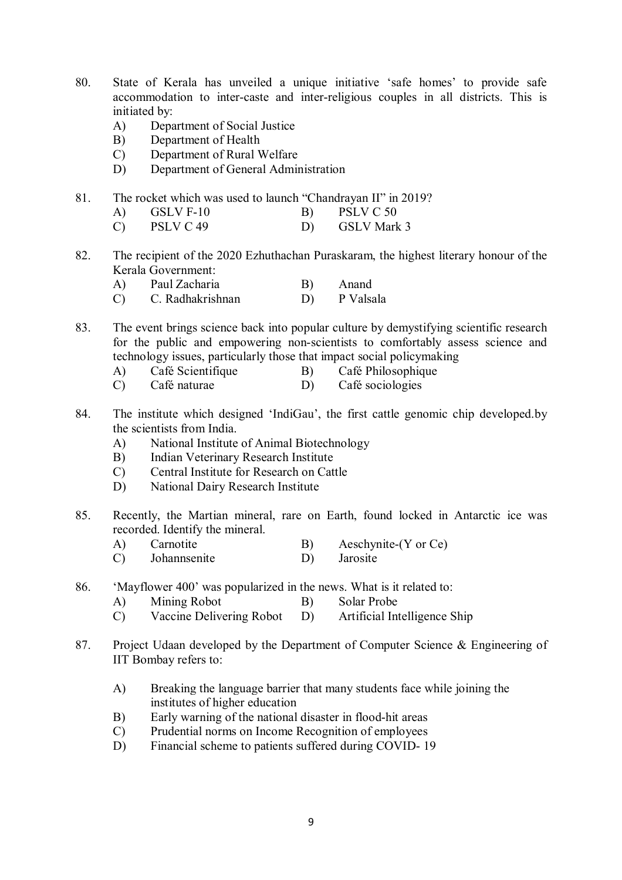- 80. State of Kerala has unveiled a unique initiative 'safe homes' to provide safe accommodation to inter-caste and inter-religious couples in all districts. This is initiated by:
	- A) Department of Social Justice
	- B) Department of Health
	- C) Department of Rural Welfare
	- D) Department of General Administration
- 81. The rocket which was used to launch "Chandrayan II" in 2019?
	- A) GSLV F-10 B) PSLV C 50
	- C) PSLV C 49 D) GSLV Mark 3
- 82. The recipient of the 2020 Ezhuthachan Puraskaram, the highest literary honour of the Kerala Government:
	- A) Paul Zacharia B) Anand<br>
	C) C. Radhakrishnan D) P Valsala
	- C. Radhakrishnan
- 83. The event brings science back into popular culture by demystifying scientific research for the public and empowering non-scientists to comfortably assess science and technology issues, particularly those that impact social policymaking
	- A) Café Scientifique B) Café Philosophique
	- C) Café naturae D) Café sociologies
- 84. The institute which designed 'IndiGau', the first cattle genomic chip developed.by the scientists from India.
	- A) National Institute of Animal Biotechnology
	- B) Indian Veterinary Research Institute
	- C) Central Institute for Research on Cattle
	- D) National Dairy Research Institute
- 85. Recently, the Martian mineral, rare on Earth, found locked in Antarctic ice was recorded. Identify the mineral.
	- A) Carnotite B) Aeschynite-(Y or Ce)<br>
	C) Johannsenite D) Jarosite
	- C) Johannsenite D)
- 86. 'Mayflower 400' was popularized in the news. What is it related to:
	- A) Mining Robot B) Solar Probe
	- C) Vaccine Delivering Robot D) Artificial Intelligence Ship
- 87. Project Udaan developed by the Department of Computer Science & Engineering of IIT Bombay refers to:
	- A) Breaking the language barrier that many students face while joining the institutes of higher education
	- B) Early warning of the national disaster in flood-hit areas
	- C) Prudential norms on Income Recognition of employees
	- D) Financial scheme to patients suffered during COVID- 19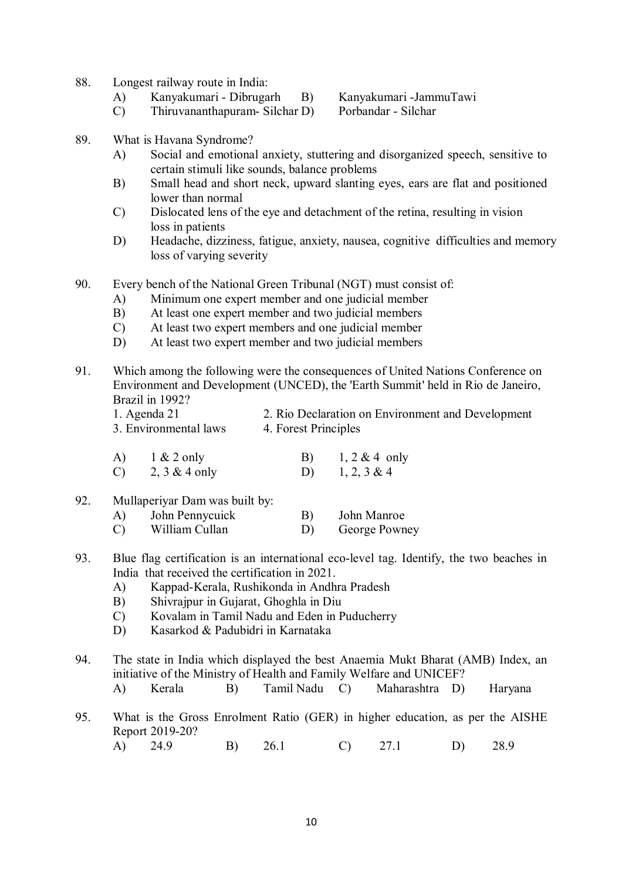- 88. Longest railway route in India:
	- A) Kanyakumari Dibrugarh B) Kanyakumari -JammuTawi

- $C$ ) Thiruvananthapuram- Silchar D)
- 
- 89. What is Havana Syndrome?
	- A) Social and emotional anxiety, stuttering and disorganized speech, sensitive to certain stimuli like sounds, balance problems
	- B) Small head and short neck, upward slanting eyes, ears are flat and positioned lower than normal
	- C) Dislocated lens of the eye and detachment of the retina, resulting in vision loss in patients
	- D) Headache, dizziness, fatigue, anxiety, nausea, cognitive difficulties and memory loss of varying severity
- 90. Every bench of the National Green Tribunal (NGT) must consist of:
	- A) Minimum one expert member and one judicial member
	- B) At least one expert member and two judicial members
	- C) At least two expert members and one judicial member
	- D) At least two expert member and two judicial members
- 91. Which among the following were the consequences of United Nations Conference on Environment and Development (UNCED), the 'Earth Summit' held in Rio de Janeiro, Brazil in 1992?
	- 1. Agenda 21 2. Rio Declaration on Environment and Development 3. Environmental laws 4. Forest Principles
	- A)  $1 \& 2 \text{ only}$  B)  $1, 2 \& 4 \text{ only}$ C)  $2, 3 \& 4 \text{ only}$  D)  $1, 2, 3 \& 4$
- 92. Mullaperiyar Dam was built by:
	- A) John Pennycuick B) John Manroe
	- C) William Cullan D) George Powney
- 93. Blue flag certification is an international eco-level tag. Identify, the two beaches in India that received the certification in 2021.
	- A) Kappad-Kerala, Rushikonda in Andhra Pradesh
	- B) Shivrajpur in Gujarat, Ghoghla in Diu
	- C) Kovalam in Tamil Nadu and Eden in Puducherry
	- D) Kasarkod & Padubidri in Karnataka
- 94. The state in India which displayed the best Anaemia Mukt Bharat (AMB) Index, an initiative of the Ministry of Health and Family Welfare and UNICEF?
	- A) Kerala B) Tamil Nadu C) Maharashtra D) Haryana
- 95. What is the Gross Enrolment Ratio (GER) in higher education, as per the AISHE Report 2019-20?
	- A) 24.9 B) 26.1 C) 27.1 D) 28.9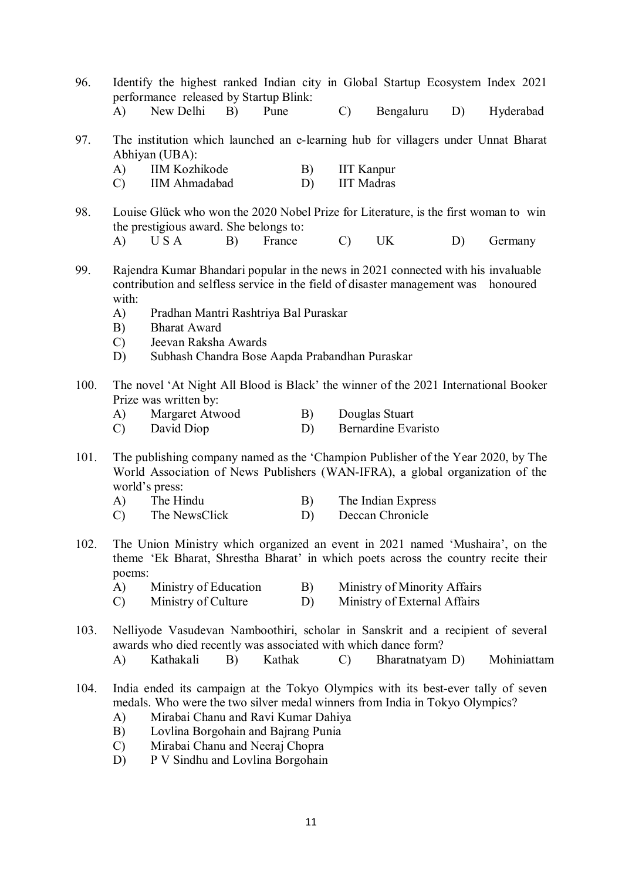performance released by Startup Blink:<br>A) New Delhi B) Pune A) New Delhi B) Pune C) Bengaluru D) Hyderabad 97. The institution which launched an e-learning hub for villagers under Unnat Bharat Abhiyan (UBA): A) IIM Kozhikode B) IIT Kanpur C) IIM Ahmadabad D) IIT Madras 98. Louise Glück who won the 2020 Nobel Prize for Literature, is the first woman to win the prestigious award. She belongs to: A) U S A B) France C) UK D) Germany 99. Rajendra Kumar Bhandari popular in the news in 2021 connected with his invaluable contribution and selfless service in the field of disaster management was honoured with: A) Pradhan Mantri Rashtriya Bal Puraskar B) Bharat Award C) Jeevan Raksha Awards D) Subhash Chandra Bose Aapda Prabandhan Puraskar 100. The novel 'At Night All Blood is Black' the winner of the 2021 International Booker Prize was written by: A) Margaret Atwood B) Douglas Stuart C) David Diop D) Bernardine Evaristo 101. The publishing company named as the 'Champion Publisher of the Year 2020, by The World Association of News Publishers (WAN-IFRA), a global organization of the world's press: A) The Hindu B) The Indian Express C) The NewsClick D) Deccan Chronicle 102. The Union Ministry which organized an event in 2021 named 'Mushaira', on the theme 'Ek Bharat, Shrestha Bharat' in which poets across the country recite their poems: A) Ministry of Education B) Ministry of Minority Affairs C) Ministry of Culture D) Ministry of External Affairs 103. Nelliyode Vasudevan Namboothiri, scholar in Sanskrit and a recipient of several awards who died recently was associated with which dance form? A) Kathakali B) Kathak C) Bharatnatyam D) Mohiniattam 104. India ended its campaign at the Tokyo Olympics with its best-ever tally of seven medals. Who were the two silver medal winners from India in Tokyo Olympics? A) Mirabai Chanu and Ravi Kumar Dahiya

96. Identify the highest ranked Indian city in Global Startup Ecosystem Index 2021

- B) Lovlina Borgohain and Bajrang Punia
- C) Mirabai Chanu and Neeraj Chopra
- D) P V Sindhu and Lovlina Borgohain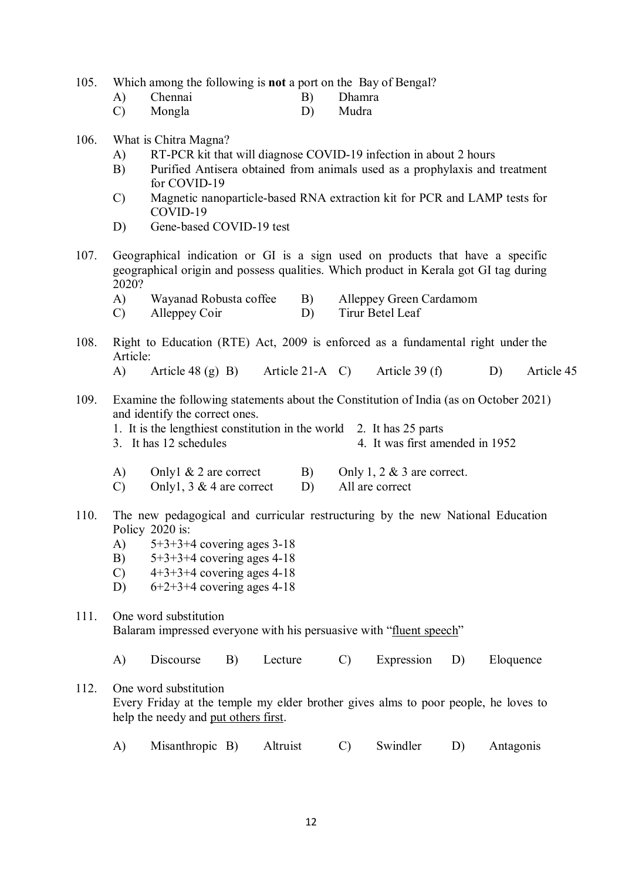105. Which among the following is **not** a port on the Bay of Bengal?

| A)<br>Chennai |  | Dhamra |
|---------------|--|--------|
|---------------|--|--------|

C) Mongla D) Mudra

## 106. What is Chitra Magna?

- A) RT-PCR kit that will diagnose COVID-19 infection in about 2 hours
- B) Purified Antisera obtained from animals used as a prophylaxis and treatment for COVID-19
- C) Magnetic nanoparticle-based RNA extraction kit for PCR and LAMP tests for COVID-19
- D) Gene-based COVID-19 test
- 107. Geographical indication or GI is a sign used on products that have a specific geographical origin and possess qualities. Which product in Kerala got GI tag during  $2020?$ <br>A)
	- Wayanad Robusta coffee B) Alleppey Green Cardamom
	- C) Alleppey Coir D) Tirur Betel Leaf
- 108. Right to Education (RTE) Act, 2009 is enforced as a fundamental right under the Article:
	- A) Article 48 (g) B) Article 21-A C) Article 39 (f) D) Article 45
- 109. Examine the following statements about the Constitution of India (as on October 2021) and identify the correct ones.
	- 1. It is the lengthiest constitution in the world 2. It has 25 parts
	- 3. It has 12 schedules 4. It was first amended in 1952
	- A) Only  $\&$  2 are correct B) Only 1, 2  $\&$  3 are correct.<br>C) Only 1, 3  $\&$  4 are correct D) All are correct
	- C) Only1,  $3 & 4$  are correct D)
- 110. The new pedagogical and curricular restructuring by the new National Education Policy 2020 is:
	- A) 5+3+3+4 covering ages 3-18
	- B)  $5+3+3+4$  covering ages 4-18
	- C)  $4+3+3+4$  covering ages 4-18
	- D)  $6+2+3+4$  covering ages 4-18

## 111. One word substitution Balaram impressed everyone with his persuasive with "fluent speech"

- A) Discourse B) Lecture C) Expression D) Eloquence
- 112. One word substitution Every Friday at the temple my elder brother gives alms to poor people, he loves to help the needy and put others first.
	- A) Misanthropic B) Altruist C) Swindler D) Antagonis